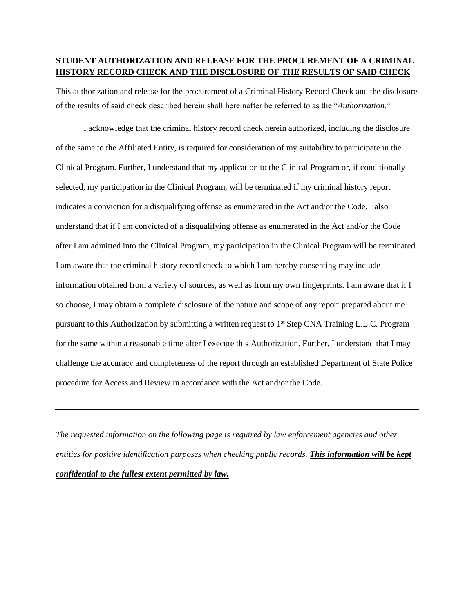## **STUDENT AUTHORIZATION AND RELEASE FOR THE PROCUREMENT OF A CRIMINAL HISTORY RECORD CHECK AND THE DISCLOSURE OF THE RESULTS OF SAID CHECK**

This authorization and release for the procurement of a Criminal History Record Check and the disclosure of the results of said check described herein shall hereinafter be referred to as the "*Authorization*."

I acknowledge that the criminal history record check herein authorized, including the disclosure of the same to the Affiliated Entity, is required for consideration of my suitability to participate in the Clinical Program. Further, I understand that my application to the Clinical Program or, if conditionally selected, my participation in the Clinical Program, will be terminated if my criminal history report indicates a conviction for a disqualifying offense as enumerated in the Act and/or the Code. I also understand that if I am convicted of a disqualifying offense as enumerated in the Act and/or the Code after I am admitted into the Clinical Program, my participation in the Clinical Program will be terminated. I am aware that the criminal history record check to which I am hereby consenting may include information obtained from a variety of sources, as well as from my own fingerprints. I am aware that if I so choose, I may obtain a complete disclosure of the nature and scope of any report prepared about me pursuant to this Authorization by submitting a written request to 1st Step CNA Training L.L.C. Program for the same within a reasonable time after I execute this Authorization. Further, I understand that I may challenge the accuracy and completeness of the report through an established Department of State Police procedure for Access and Review in accordance with the Act and/or the Code.

*The requested information on the following page is required by law enforcement agencies and other entities for positive identification purposes when checking public records. This information will be kept confidential to the fullest extent permitted by law.*